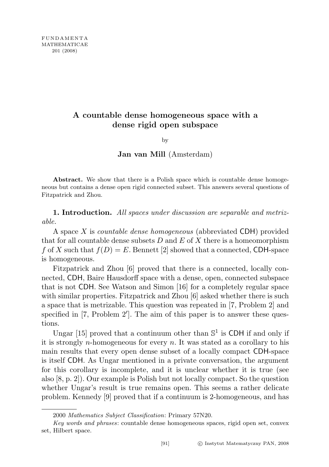## A countable dense homogeneous space with a dense rigid open subspace

by

Jan van Mill (Amsterdam)

Abstract. We show that there is a Polish space which is countable dense homogeneous but contains a dense open rigid connected subset. This answers several questions of Fitzpatrick and Zhou.

1. Introduction. All spaces under discussion are separable and metrizable.

A space X is countable dense homogeneous (abbreviated CDH) provided that for all countable dense subsets  $D$  and  $E$  of  $X$  there is a homeomorphism f of X such that  $f(D) = E$ . Bennett [2] showed that a connected, CDH-space is homogeneous.

Fitzpatrick and Zhou [6] proved that there is a connected, locally connected, CDH, Baire Hausdorff space with a dense, open, connected subspace that is not CDH. See Watson and Simon [16] for a completely regular space with similar properties. Fitzpatrick and Zhou [6] asked whether there is such a space that is metrizable. This question was repeated in [7, Problem 2] and specified in  $[7,$  Problem  $2'$ . The aim of this paper is to answer these questions.

Ungar [15] proved that a continuum other than  $\mathbb{S}^1$  is CDH if and only if it is strongly *n*-homogeneous for every *n*. It was stated as a corollary to his main results that every open dense subset of a locally compact CDH-space is itself CDH. As Ungar mentioned in a private conversation, the argument for this corollary is incomplete, and it is unclear whether it is true (see also [8, p. 2]). Our example is Polish but not locally compact. So the question whether Ungar's result is true remains open. This seems a rather delicate problem. Kennedy [9] proved that if a continuum is 2-homogeneous, and has

<sup>2000</sup> Mathematics Subject Classification: Primary 57N20.

Key words and phrases: countable dense homogeneous spaces, rigid open set, convex set, Hilbert space.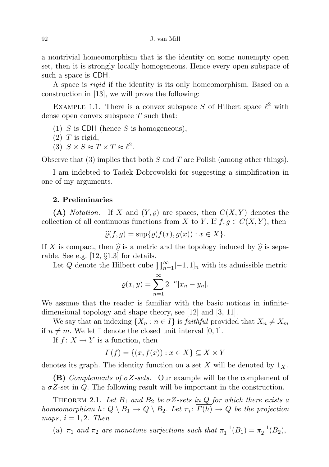a nontrivial homeomorphism that is the identity on some nonempty open set, then it is strongly locally homogeneous. Hence every open subspace of such a space is CDH.

A space is rigid if the identity is its only homeomorphism. Based on a construction in [13], we will prove the following:

EXAMPLE 1.1. There is a convex subspace S of Hilbert space  $\ell^2$  with dense open convex subspace  $T$  such that:

- (1) S is CDH (hence S is homogeneous),
- $(2)$  T is rigid,
- (3)  $S \times S \approx T \times T \approx \ell^2$ .

Observe that  $(3)$  implies that both S and T are Polish (among other things).

I am indebted to Tadek Dobrowolski for suggesting a simplification in one of my arguments.

## 2. Preliminaries

(A) Notation. If X and  $(Y, \varrho)$  are spaces, then  $C(X, Y)$  denotes the collection of all continuous functions from X to Y. If  $f, g \in C(X, Y)$ , then

$$
\widehat{\varrho}(f,g) = \sup \{ \varrho(f(x), g(x)) : x \in X \}.
$$

If X is compact, then  $\hat{\rho}$  is a metric and the topology induced by  $\hat{\rho}$  is separable. See e.g. [12, §1.3] for details.

Let Q denote the Hilbert cube  $\prod_{n=1}^{\infty}[-1,1]_n$  with its admissible metric

$$
\varrho(x,y) = \sum_{n=1}^{\infty} 2^{-n} |x_n - y_n|.
$$

We assume that the reader is familiar with the basic notions in infinitedimensional topology and shape theory, see [12] and [3, 11].

We say that an indexing  $\{X_n : n \in I\}$  is *faithful* provided that  $X_n \neq X_m$ if  $n \neq m$ . We let I denote the closed unit interval [0, 1].

If  $f: X \to Y$  is a function, then

$$
\Gamma(f) = \{(x, f(x)) : x \in X\} \subseteq X \times Y
$$

denotes its graph. The identity function on a set X will be denoted by  $1_X$ .

**(B)** Complements of  $\sigma Z$ -sets. Our example will be the complement of a  $\sigma Z$ -set in Q. The following result will be important in the construction.

THEOREM 2.1. Let  $B_1$  and  $B_2$  be  $\sigma Z$ -sets in Q for which there exists a homeomorphism  $h: Q \setminus B_1 \to Q \setminus B_2$ . Let  $\pi_i: \Gamma(h) \to Q$  be the projection maps,  $i = 1, 2$ . Then

(a)  $\pi_1$  and  $\pi_2$  are monotone surjections such that  $\pi_1^{-1}(B_1) = \pi_2^{-1}(B_2)$ ,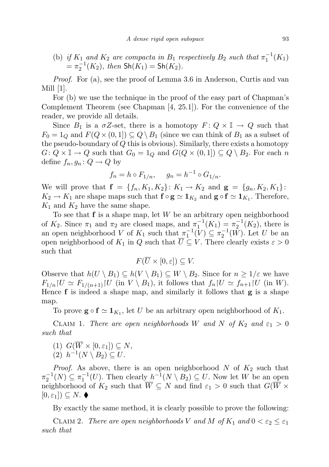(b) if  $K_1$  and  $K_2$  are compacta in  $B_1$  respectively  $B_2$  such that  $\pi_1^{-1}(K_1)$  $=\pi_2^{-1}(K_2)$ , then  $\textsf{Sh}(K_1) = \textsf{Sh}(K_2)$ .

Proof. For (a), see the proof of Lemma 3.6 in Anderson, Curtis and van Mill [1].

For (b) we use the technique in the proof of the easy part of Chapman's Complement Theorem (see Chapman [4, 25.1]). For the convenience of the reader, we provide all details.

Since  $B_1$  is a  $\sigma Z$ -set, there is a homotopy  $F: Q \times \mathbb{I} \to Q$  such that  $F_0 = 1_Q$  and  $F(Q \times (0, 1]) \subseteq Q \setminus B_1$  (since we can think of  $B_1$  as a subset of the pseudo-boundary of  $Q$  this is obvious). Similarly, there exists a homotopy  $G: Q \times \mathbb{I} \to Q$  such that  $G_0 = 1_Q$  and  $G(Q \times (0, 1]) \subseteq Q \setminus B_2$ . For each n define  $f_n, g_n: Q \to Q$  by

$$
f_n = h \circ F_{1/n}, \quad g_n = h^{-1} \circ G_{1/n}.
$$

We will prove that  $f = \{f_n, K_1, K_2\}$ :  $K_1 \to K_2$  and  $g = \{g_n, K_2, K_1\}$ :  $K_2 \to K_1$  are shape maps such that  $f \circ g \simeq 1_{K_2}$  and  $g \circ f \simeq 1_{K_1}$ . Therefore,  $K_1$  and  $K_2$  have the same shape.

To see that  $f$  is a shape map, let W be an arbitrary open neighborhood of  $K_2$ . Since  $\pi_1$  and  $\pi_2$  are closed maps, and  $\pi_1^{-1}(K_1) = \pi_2^{-1}(K_2)$ , there is an open neighborhood V of  $K_1$  such that  $\pi_1^{-1}(V) \subseteq \pi_2^{-1}(W)$ . Let U be an open neighborhood of  $K_1$  in Q such that  $\overline{U} \subseteq V$ . There clearly exists  $\varepsilon > 0$ such that

$$
F(\overline{U}\times[0,\varepsilon])\subseteq V.
$$

Observe that  $h(U \setminus B_1) \subseteq h(V \setminus B_1) \subseteq W \setminus B_2$ . Since for  $n \geq 1/\varepsilon$  we have  $F_{1/n}|U \simeq F_{1/(n+1)}|U$  (in  $V \setminus B_1$ ), it follows that  $f_n|U \simeq f_{n+1}|U$  (in W). Hence  $f$  is indeed a shape map, and similarly it follows that  $g$  is a shape map.

To prove  $\mathbf{g} \circ \mathbf{f} \simeq \mathbf{1}_{K_1}$ , let U be an arbitrary open neighborhood of  $K_1$ .

CLAIM 1. There are open neighborhoods W and N of  $K_2$  and  $\varepsilon_1 > 0$ such that

(1)  $G(\overline{W} \times [0, \varepsilon_1]) \subseteq N$ ,

$$
(2) \ \ h^{-1}(N \setminus B_2) \subseteq U.
$$

*Proof.* As above, there is an open neighborhood  $N$  of  $K_2$  such that  $\pi_2^{-1}(N) \subseteq \pi_1^{-1}(U)$ . Then clearly  $h^{-1}(N \setminus B_2) \subseteq U$ . Now let W be an open neighborhood of  $K_2$  such that  $\overline{W} \subseteq N$  and find  $\varepsilon_1 > 0$  such that  $G(\overline{W} \times$  $[0, \varepsilon_1] \subseteq N$ .  $\blacklozenge$ 

By exactly the same method, it is clearly possible to prove the following:

CLAIM 2. There are open neighborhoods V and M of  $K_1$  and  $0 < \varepsilon_2 \leq \varepsilon_1$ such that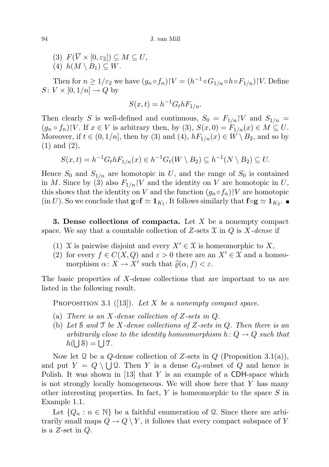(3)  $F(\overline{V} \times [0, \varepsilon_2]) \subseteq M \subseteq U$ , (4)  $h(M \setminus B_1) \subseteq W$ .

Then for  $n \geq 1/\varepsilon_2$  we have  $(g_n \circ f_n)$   $|V = (h^{-1} \circ G_{1/n} \circ h \circ F_{1/n})|V$ . Define  $S: V \times [0, 1/n] \rightarrow Q$  by

$$
S(x,t) = h^{-1} G_t h F_{1/n}.
$$

Then clearly S is well-defined and continuous,  $S_0 = F_{1/n}$  |V and  $S_{1/n} =$  $(g_n \circ f_n) \upharpoonright V$ . If  $x \in V$  is arbitrary then, by (3),  $S(x, 0) = F_{1/n}(x) \in M \subseteq U$ . Moreover, if  $t \in (0, 1/n]$ , then by (3) and (4),  $hF_{1/n}(x) \in W \setminus B_2$ , and so by (1) and (2),

$$
S(x,t) = h^{-1}G_t h F_{1/n}(x) \in h^{-1}G_t(W \setminus B_2) \subseteq h^{-1}(N \setminus B_2) \subseteq U.
$$

Hence  $S_0$  and  $S_{1/n}$  are homotopic in U, and the range of  $S_0$  is contained in M. Since by (3) also  $F_{1/n}$  |V and the identity on V are homotopic in U, this shows that the identity on V and the function  $(g_n \circ f_n)$  V are homotopic  $(in U)$ . So we conclude that  $\mathbf{g} \circ \mathbf{f} \simeq \mathbf{1}_{K_1}$ . It follows similarly that  $\mathbf{f} \circ \mathbf{g} \simeq \mathbf{1}_{K_2}$ .

**3. Dense collections of compacta.** Let  $X$  be a nonempty compact space. We say that a countable collection of Z-sets  $\mathfrak X$  in  $Q$  is X-dense if

- (1) X is pairwise disjoint and every  $X' \in \mathcal{X}$  is homeomorphic to X,
- (2) for every  $f \in C(X,Q)$  and  $\varepsilon > 0$  there are an  $X' \in \mathfrak{X}$  and a homeomorphism  $\alpha \colon X \to X'$  such that  $\widehat{\varrho}(\alpha, f) < \varepsilon$ .

The basic properties of X-dense collections that are important to us are listed in the following result.

PROPOSITION 3.1 ([13]). Let X be a nonempty compact space.

- (a) There is an X-dense collection of  $Z$ -sets in  $Q$ .
- (b) Let S and T be X-dense collections of Z-sets in Q. Then there is an arbitrarily close to the identity homeomorphism  $h: Q \to Q$  such that  $h(\bigcup \mathcal{S}) = \bigcup \mathcal{T}.$

Now let 2 be a Q-dense collection of Z-sets in  $Q$  (Proposition 3.1(a)), and put  $Y = Q \setminus \bigcup Q$ . Then Y is a dense  $G_{\delta}$ -subset of Q and hence is Polish. It was shown in  $\vert 13 \vert$  that Y is an example of a CDH-space which is not strongly locally homogeneous. We will show here that Y has many other interesting properties. In fact,  $Y$  is homeomorphic to the space  $S$  in Example 1.1.

Let  $\{Q_n : n \in \mathbb{N}\}\$ be a faithful enumeration of Q. Since there are arbitrarily small maps  $Q \to Q \ Y$ , it follows that every compact subspace of Y is a  $Z$ -set in  $Q$ .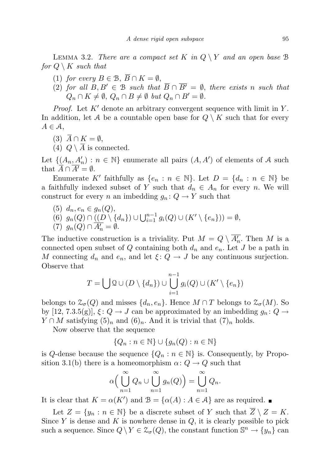LEMMA 3.2. There are a compact set K in  $Q \ Y$  and an open base B for  $Q \setminus K$  such that

- (1) for every  $B \in \mathcal{B}, \overline{B} \cap K = \emptyset$ ,
- (2) for all  $B, B' \in \mathcal{B}$  such that  $\overline{B} \cap \overline{B'} = \emptyset$ , there exists n such that  $Q_n \cap K \neq \emptyset$ ,  $Q_n \cap B \neq \emptyset$  but  $Q_n \cap B' = \emptyset$ .

*Proof.* Let  $K'$  denote an arbitrary convergent sequence with limit in Y. In addition, let A be a countable open base for  $Q \setminus K$  such that for every  $A \in \mathcal{A},$ 

- (3)  $\overline{A} \cap K = \emptyset$ ,
- (4)  $Q \setminus \overline{A}$  is connected.

Let  $\{\underline{(A_n, A'_n)} : n \in \mathbb{N}\}\$ enumerate all pairs  $(A, A')$  of elements of A such that  $\overline{A} \cap \overline{A'} = \emptyset$ .

Enumerate K' faithfully as  $\{e_n : n \in \mathbb{N}\}\)$ . Let  $D = \{d_n : n \in \mathbb{N}\}\)$ a faithfully indexed subset of Y such that  $d_n \in A_n$  for every n. We will construct for every n an imbedding  $g_n: Q \to Y$  such that

- (5)  $d_n, e_n \in q_n(Q)$ ,
- (6)  $g_n(Q) \cap \underline{((D \setminus \{d_n\}) \cup \bigcup_{i=1}^{n-1} g_i(Q) \cup (K' \setminus \{e_n\}))} = \emptyset,$

(7) 
$$
g_n(Q) \cap \overline{A'_n} = \emptyset
$$
.

The inductive construction is a triviality. Put  $M = Q \setminus \overline{A'_n}$ . Then M is a connected open subset of Q containing both  $d_n$  and  $e_n$ . Let J be a path in M connecting  $d_n$  and  $e_n$ , and let  $\xi: Q \to J$  be any continuous surjection. Observe that

$$
T = \bigcup \mathcal{Q} \cup (D \setminus \{d_n\}) \cup \bigcup_{i=1}^{n-1} g_i(Q) \cup (K' \setminus \{e_n\})
$$

belongs to  $\mathfrak{Z}_{\sigma}(Q)$  and misses  $\{d_n, e_n\}$ . Hence  $M \cap T$  belongs to  $\mathfrak{Z}_{\sigma}(M)$ . So by [12, 7.3.5(g)],  $\xi: Q \to J$  can be approximated by an imbedding  $g_n: Q \to J$  $Y \cap M$  satisfying  $(5)_n$  and  $(6)_n$ . And it is trivial that  $(7)_n$  holds.

Now observe that the sequence

$$
\{Q_n : n \in \mathbb{N}\} \cup \{g_n(Q) : n \in \mathbb{N}\}\
$$

is Q-dense because the sequence  $\{Q_n : n \in \mathbb{N}\}\$ is. Consequently, by Proposition 3.1(b) there is a homeomorphism  $\alpha: Q \to Q$  such that

$$
\alpha\Big(\bigcup_{n=1}^{\infty} Q_n \cup \bigcup_{n=1}^{\infty} g_n(Q)\Big) = \bigcup_{n=1}^{\infty} Q_n.
$$

It is clear that  $K = \alpha(K')$  and  $\mathcal{B} = {\alpha(A) : A \in \mathcal{A}}$  are as required.

Let  $Z = \{y_n : n \in \mathbb{N}\}\$ be a discrete subset of Y such that  $\overline{Z} \setminus Z = K$ . Since  $Y$  is dense and  $K$  is nowhere dense in  $Q$ , it is clearly possible to pick such a sequence. Since  $Q \setminus Y \in \mathcal{Z}_{\sigma}(Q)$ , the constant function  $\mathbb{S}^n \to \{y_n\}$  can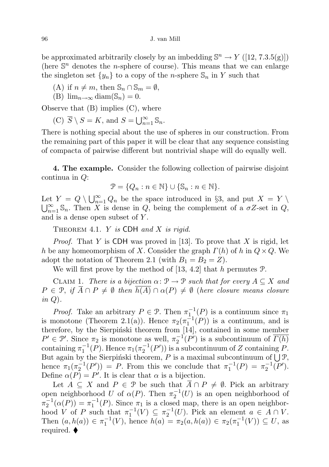be approximated arbitrarily closely by an imbedding  $\mathbb{S}^n \to Y$  ([12, 7.3.5(g)]) (here  $\mathbb{S}^n$  denotes the *n*-sphere of course). This means that we can enlarge the singleton set  $\{y_n\}$  to a copy of the *n*-sphere  $\mathcal{S}_n$  in Y such that

(A) if  $n \neq m$ , then  $\mathbb{S}_n \cap \mathbb{S}_m = \emptyset$ ,

(B) 
$$
\lim_{n\to\infty}
$$
 diam( $\mathbb{S}_n$ ) = 0.

Observe that (B) implies (C), where

(C)  $\overline{S} \setminus S = K$ , and  $S = \bigcup_{n=1}^{\infty} \mathbb{S}_n$ .

There is nothing special about the use of spheres in our construction. From the remaining part of this paper it will be clear that any sequence consisting of compacta of pairwise different but nontrivial shape will do equally well.

4. The example. Consider the following collection of pairwise disjoint continua in Q:

$$
\mathcal{P} = \{Q_n : n \in \mathbb{N}\} \cup \{\mathbb{S}_n : n \in \mathbb{N}\}.
$$

Let  $Y = Q \setminus \bigcup_{n=1}^{\infty} Q_n$  be the space introduced in §3, and put  $X = Y \setminus$  $\bigcup_{n=1}^{\infty} \mathbb{S}_n$ . Then X is dense in Q, being the complement of a  $\sigma Z$ -set in Q, and is a dense open subset of Y.

THEOREM 4.1. Y is CDH and X is rigid.

*Proof.* That Y is CDH was proved in [13]. To prove that X is rigid, let h be any homeomorphism of X. Consider the graph  $\Gamma(h)$  of h in  $Q \times Q$ . We adopt the notation of Theorem 2.1 (with  $B_1 = B_2 = Z$ ).

We will first prove by the method of [13, 4.2] that h permutes  $P$ .

CLAIM 1. There is a bijection  $\alpha: \mathcal{P} \to \mathcal{P}$  such that for every  $A \subseteq X$  and  $P \in \mathcal{P}, \text{ if } \overline{A} \cap P \neq \emptyset \text{ then } \overline{h(A)} \cap \alpha(P) \neq \emptyset \text{ (here closure means closure)}$ in  $Q$ ).

*Proof.* Take an arbitrary  $P \in \mathcal{P}$ . Then  $\pi_1^{-1}(P)$  is a continuum since  $\pi_1$ is monotone (Theorem 2.1(a)). Hence  $\pi_2(\pi_1^{-1}(P))$  is a continuum, and is therefore, by the Sierpiński theorem from  $[14]$ , contained in some member  $P' \in \mathcal{P}'$ . Since  $\pi_2$  is monotone as well,  $\pi_2^{-1}(P')$  is a subcontinuum of  $\overline{\Gamma(h)}$ containing  $\pi_1^{-1}(P)$ . Hence  $\pi_1(\pi_2^{-1}(P'))$  is a subcontinuum of Z containing P. But again by the Sierpiński theorem, P is a maximal subcontinuum of  $\bigcup \mathcal{P}$ , hence  $\pi_1(\pi_2^{-1}(P')) = P$ . From this we conclude that  $\pi_1^{-1}(P) = \pi_2^{-1}(P')$ . Define  $\alpha(P) = P'$ . It is clear that  $\alpha$  is a bijection.

Let  $A \subseteq X$  and  $P \in \mathcal{P}$  be such that  $\overline{A} \cap P \neq \emptyset$ . Pick an arbitrary open neighborhood U of  $\alpha(P)$ . Then  $\pi_2^{-1}(U)$  is an open neighborhood of  $\pi_2^{-1}(\alpha(P)) = \pi_1^{-1}(P)$ . Since  $\pi_1$  is a closed map, there is an open neighborhood V of P such that  $\pi_1^{-1}(V) \subseteq \pi_2^{-1}(U)$ . Pick an element  $a \in A \cap V$ . Then  $(a, h(a)) \in \pi_1^{-1}(V)$ , hence  $h(a) = \pi_2(a, h(a)) \in \pi_2(\pi_1^{-1}(V)) \subseteq U$ , as required.  $\blacklozenge$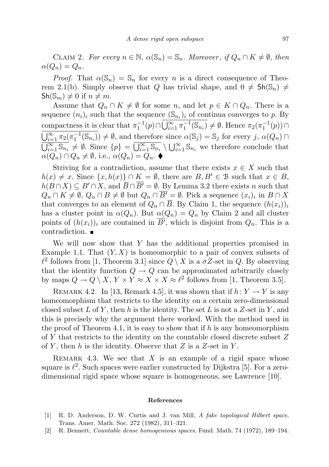CLAIM 2. For every  $n \in \mathbb{N}$ ,  $\alpha(\mathbb{S}_n) = \mathbb{S}_n$ . Moreover, if  $Q_n \cap K \neq \emptyset$ , then  $\alpha(Q_n) = Q_n.$ 

*Proof.* That  $\alpha(\mathbb{S}_n) = \mathbb{S}_n$  for every n is a direct consequence of Theorem 2.1(b). Simply observe that Q has trivial shape, and  $0 \neq Sh(\mathbb{S}_n) \neq$  $\mathsf{Sh}(\mathbb{S}_m) \neq 0$  if  $n \neq m$ .

Assume that  $Q_n \cap K \neq \emptyset$  for some n, and let  $p \in K \cap Q_n$ . There is a sequence  $(n_i)_i$  such that the sequence  $(\mathbb{S}_{n_i})_i$  of continua converges to p. By compactness it is clear that  $\pi_1^{-1}(p) \cap \overline{\bigcup_{i=1}^{\infty} \pi_1^{-1}(\mathbb{S}_{n_i})} \neq \emptyset$ . Hence  $\pi_2(\pi_1^{-1}(p)) \cap$  $\overline{\bigcup_{i=1}^{\infty} \pi_2(\pi_1^{-1}(\mathbb{S}_{n_i}))} \neq \emptyset$ , and therefore since  $\alpha(\mathbb{S}_j) = \mathbb{S}_j$  for every j,  $\alpha(Q_n) \cap$  $\overline{\bigcup_{i=1}^{\infty} \mathbb{S}_{n_i}} \neq \emptyset$ . Since  $\{p\} = \overline{\bigcup_{i=1}^{\infty} \mathbb{S}_{n_i}} \setminus \bigcup_{i=1}^{\infty} \mathbb{S}_{n_i}$  we therefore conclude that  $\alpha(Q_n) \cap Q_n \neq \emptyset$ , i.e.,  $\alpha(Q_n) = Q_n$ .

Striving for a contradiction, assume that there exists  $x \in X$  such that  $h(x) \neq x$ . Since  $\{x, h(x)\} \cap K = \emptyset$ , there are  $B, B' \in \mathcal{B}$  such that  $x \in B$ ,  $h(B \cap X) \subseteq B' \cap X$ , and  $\overline{B} \cap \overline{B'} = \emptyset$ . By Lemma 3.2 there exists n such that  $Q_n \cap K \neq \emptyset$ ,  $Q_n \cap B \neq \emptyset$  but  $Q_n \cap \overline{B'} = \emptyset$ . Pick a sequence  $(x_i)_i$  in  $B \cap X$ that converges to an element of  $Q_n \cap \overline{B}$ . By Claim 1, the sequence  $(h(x_i))_i$ has a cluster point in  $\alpha(Q_n)$ . But  $\alpha(Q_n) = Q_n$  by Claim 2 and all cluster points of  $(h(x_i))_i$  are contained in  $\overline{B'}$ , which is disjoint from  $Q_n$ . This is a contradiction.

We will now show that Y has the additional properties promised in Example 1.1. That  $(Y, X)$  is homeomorphic to a pair of convex subsets of  $\ell^2$  follows from [1, Theorem 3.1] since  $Q \setminus X$  is a  $\sigma Z$ -set in Q. By observing that the identity function  $Q \to Q$  can be approximated arbitrarily closely by maps  $Q \to Q \setminus X$ ,  $Y \times Y \approx X \times X \approx \ell^2$  follows from [1, Theorem 3.5].

REMARK 4.2. In [13, Remark 4.5], it was shown that if  $h: Y \to Y$  is any homeomorphism that restricts to the identity on a certain zero-dimensional closed subset L of Y, then h is the identity. The set L is not a Z-set in Y, and this is precisely why the argument there worked. With the method used in the proof of Theorem 4.1, it is easy to show that if  $h$  is any homeomorphism of Y that restricts to the identity on the countable closed discrete subset Z of Y, then h is the identity. Observe that Z is a Z-set in Y.

REMARK 4.3. We see that X is an example of a rigid space whose square is  $\ell^2$ . Such spaces were earlier constructed by Dijkstra [5]. For a zerodimensional rigid space whose square is homogeneous, see Lawrence [10].

## References

- [1] R. D. Anderson, D. W. Curtis and J. van Mill, A fake topological Hilbert space, Trans. Amer. Math. Soc. 272 (1982), 311–321.
- [2] R. Bennett, Countable dense homogeneous spaces, Fund. Math. 74 (1972), 189–194.